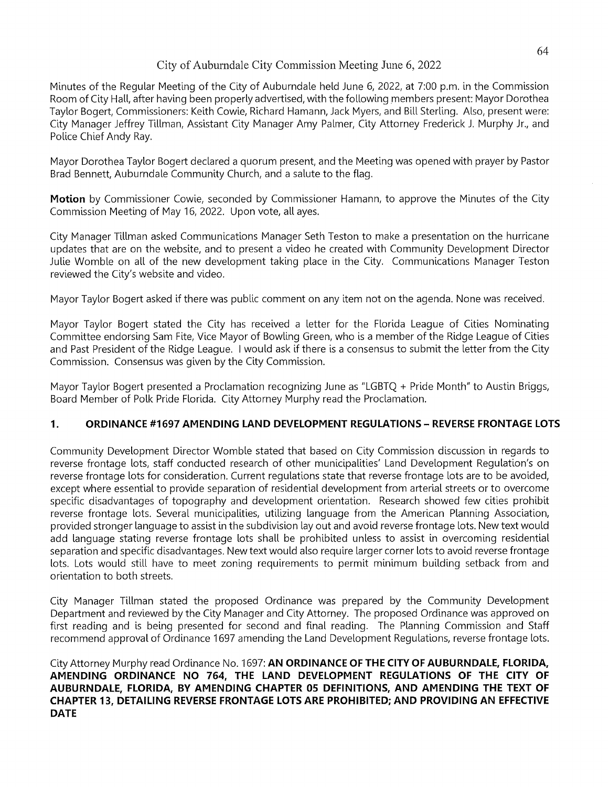# City of Auburndale City Commission Meeting June 6, 2022

Minutes of the Regular Meeting of the City of Auburndale held June 6, 2022, at 7:00 p.m. in the Commission Room of City Hall, after having been properly advertised, with the following members present: Mayor Dorothea Taylor Bogert, Commissioners: Keith Cowie, Richard Hamann, Jack Myers, and Bill Sterling. Also, present were: City Manager Jeffrey Tillman, Assistant City Manager Amy Palmer, City Attorney Frederick J. Murphy Jr., and Police Chief Andy Ray.

Mayor Dorothea Taylor Bogert declared a quorum present, and the Meeting was opened with prayer by Pastor Brad Bennett, Auburndale Community Church, and a salute to the flag.

Motion by Commissioner Cowie, seconded by Commissioner Hamann, to approve the Minutes of the City Commission Meeting of May 16, 2022. Upon vote, all ayes.

City Manager Tillman asked Communications Manager Seth Teston to make a presentation on the hurricane updates that are on the website, and to present a video he created with Community Development Director Julie Womble on all of the new development taking place in the City. Communications Manager Teston reviewed the City's website and video.

Mayor Taylor Bogert asked if there was public comment on any item not on the agenda. None was received.

Mayor Taylor Bogert stated the City has received a letter for the Florida League of Cities Nominating Committee endorsing Sam Fite, Vice Mayor of Bowling Green, who is a member of the Ridge League of Cities and Past President of the Ridge League. I would ask if there is a consensus to submit the letter from the City Commission. Consensus was given by the City Commission.

Mayor Taylor Bogert presented a Proclamation recognizing June as "LGBTQ + Pride Month" to Austin Briggs, Board Member of Polk Pride Florida. City Attorney Murphy read the Proclamation.

# 1. ORDINANCE #1697 AMENDING LAND DEVELOPMENT REGULATIONS - REVERSE FRONTAGE LOTS

Community Development Director Womble stated that based on City Commission discussion in regards to reverse frontage lots, staff conducted research of other municipalities' Land Development Regulation's on reverse frontage lots for consideration. Current regulations state that reverse frontage lots are to be avoided, except where essential to provide separation of residential development from arterial streets or to overcome specific disadvantages of topography and development orientation. Research showed few cities prohibit reverse frontage lots. Several municipalities, utilizing language from the American Planning Association, provided stronger language to assist in the subdivision lay out and avoid reverse frontage lots. New text would add language stating reverse frontage lots shall be prohibited unless to assist in overcoming residential separation and specific disadvantages. New text would also require larger corner lots to avoid reverse frontage lots. Lots would still have to meet zoning requirements to permit minimum building setback from and orientation to both streets.

City Manager Tillman stated the proposed Ordinance was prepared by the Community Development Department and reviewed by the City Manager and City Attorney. The proposed Ordinance was approved on first reading and is being presented for second and final reading. The Planning Commission and Staff recommend approval of Ordinance 1697 amending the Land Development Regulations, reverse frontage lots.

City Attorney Murphy read Ordinance No. 1697: **AN ORDINANCE OF THE CITY OF AUBURNDALE, FLORIDA, AMENDING ORDINANCE NO 764, THE LAND DEVELOPMENT REGULATIONS OF THE CITY OF AUBURNDALE, FLORIDA, BY AMENDING CHAPTER 05 DEFINITIONS, AND AMENDING THE TEXT OF CHAPTER 13, DETAILING REVERSE FRONTAGE LOTS ARE PROHIBITED; AND PROVIDING AN EFFECTIVE DATE**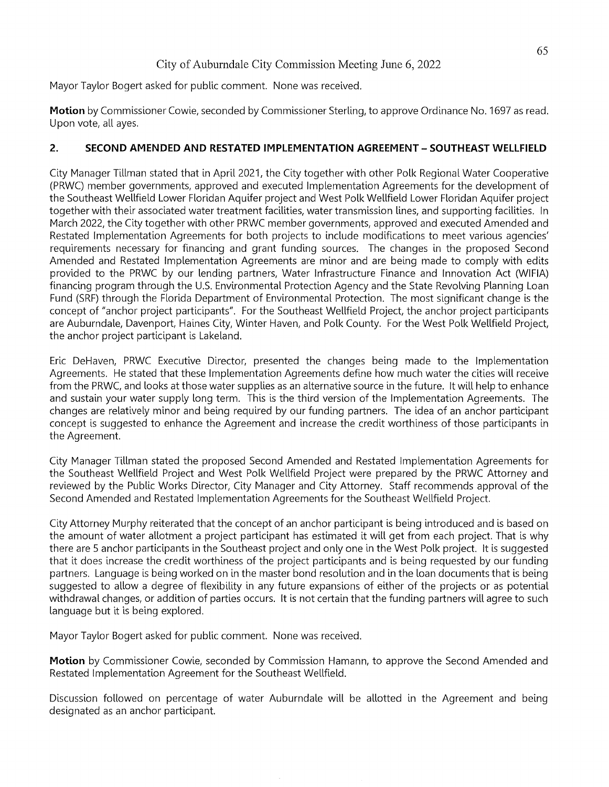# City of Auburndale City Commission Meeting June 6, 2022

Mayor Taylor Bogert asked for public comment. None was received.

**Motion** by Commissioner Cowie, seconded by Commissioner Sterling, to approve Ordinance No. 1697 as read. Upon vote, all ayes.

# **2. SECOND AMENDED AND RESTATED IMPLEMENTATION AGREEMENT SOUTHEAST WELLFIELD**

City Manager Tillman stated that in April 2021, the City together with other Polk Regional Water Cooperative (PRWC) member governments, approved and executed Implementation Agreements for the development of the Southeast Wellfield Lower Floridan Aquifer project and West Polk Wellfield Lower Floridan Aquifer project together with their associated water treatment facilities, water transmission lines, and supporting facilities. In March 2022, the City together with other PRWC member governments, approved and executed Amended and Restated Implementation Agreements for both projects to include modifications to meet various agencies' requirements necessary for financing and grant funding sources. The changes in the proposed Second Amended and Restated Implementation Agreements are minor and are being made to comply with edits provided to the PRWC by our lending partners, Water Infrastructure Finance and Innovation Act (WIFIA) financing program through the U.S. Environmental Protection Agency and the State Revolving Planning Loan Fund (SRF) through the Florida Department of Environmental Protection. The most significant change is the concept of "anchor project participants". For the Southeast Wellfield Project, the anchor project participants are Auburndale, Davenport, Haines City, Winter Haven, and Polk County. For the West Polk Wellfield Project, the anchor project participant is Lakeland.

Eric DeHaven, PRWC Executive Director, presented the changes being made to the Implementation Agreements. He stated that these Implementation Agreements define how much water the cities will receive from the PRWC, and looks at those water supplies as an alternative source in the future. It will help to enhance and sustain your water supply long term. This is the third version of the Implementation Agreements. The changes are relatively minor and being required by our funding partners. The idea of an anchor participant concept is suggested to enhance the Agreement and increase the credit worthiness of those participants in the Agreement.

City Manager Tillman stated the proposed Second Amended and Restated Implementation Agreements for the Southeast Wellfield Project and West Polk Wellfield Project were prepared by the PRWC Attorney and reviewed by the Public Works Director, City Manager and City Attorney. Staff recommends approval of the Second Amended and Restated Implementation Agreements for the Southeast Wellfield Project.

City Attorney Murphy reiterated that the concept of an anchor participant is being introduced and is based on the amount of water allotment a project participant has estimated it will get from each project. That is why there are 5 anchor participants in the Southeast project and only one in the West Polk project. It is suggested that it does increase the credit worthiness of the project participants and is being requested by our funding partners. Language is being worked on in the master bond resolution and in the loan documents that is being suggested to allow a degree of flexibility in any future expansions of either of the projects or as potential withdrawal changes, or addition of parties occurs. It is not certain that the funding partners will agree to such language but it is being explored.

Mayor Taylor Bogert asked for public comment. None was received.

**Motion** by Commissioner Cowie, seconded by Commission Hamann, to approve the Second Amended and Restated Implementation Agreement for the Southeast Wellfield.

Discussion followed on percentage of water Auburndale will be allotted in the Agreement and being designated as an anchor participant.